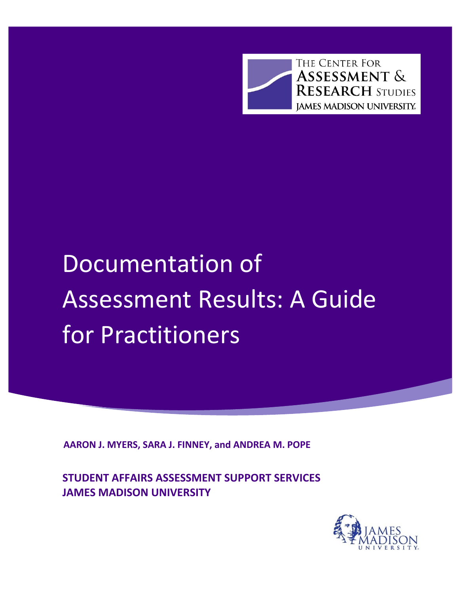THE CENTER FOR **ASSESSMENT & RESEARCH STUDIES JAMES MADISON UNIVERSITY.** 

# Documentation of Assessment Results: A Guide for Practitioners

**AARON J. MYERS, SARA J. FINNEY, and ANDREA M. POPE**

**STUDENT AFFAIRS ASSESSMENT SUPPORT SERVICES JAMES MADISON UNIVERSITY**

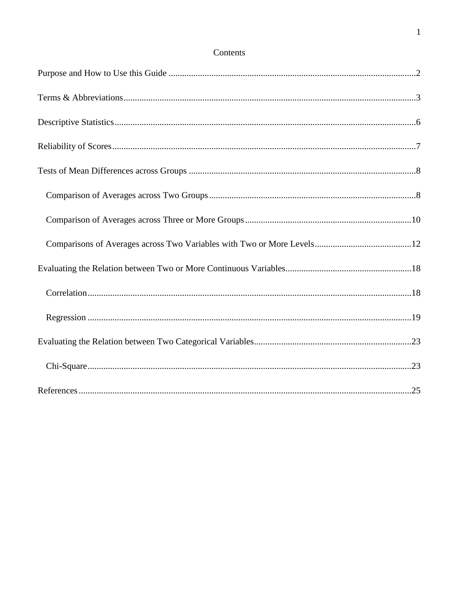## Contents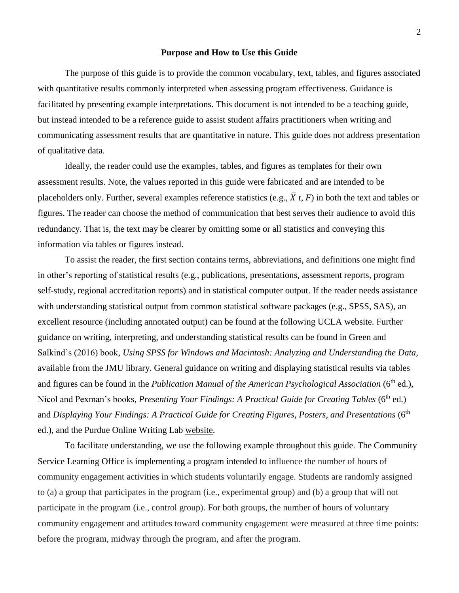#### **Purpose and How to Use this Guide**

<span id="page-2-0"></span>The purpose of this guide is to provide the common vocabulary, text, tables, and figures associated with quantitative results commonly interpreted when assessing program effectiveness. Guidance is facilitated by presenting example interpretations. This document is not intended to be a teaching guide, but instead intended to be a reference guide to assist student affairs practitioners when writing and communicating assessment results that are quantitative in nature. This guide does not address presentation of qualitative data.

Ideally, the reader could use the examples, tables, and figures as templates for their own assessment results. Note, the values reported in this guide were fabricated and are intended to be placeholders only. Further, several examples reference statistics (e.g.,  $\bar{X}$  *t*, *F*) in both the text and tables or figures. The reader can choose the method of communication that best serves their audience to avoid this redundancy. That is, the text may be clearer by omitting some or all statistics and conveying this information via tables or figures instead.

To assist the reader, the first section contains terms, abbreviations, and definitions one might find in other's reporting of statistical results (e.g., publications, presentations, assessment reports, program self-study, regional accreditation reports) and in statistical computer output. If the reader needs assistance with understanding statistical output from common statistical software packages (e.g., SPSS, SAS), an excellent resource (including annotated output) can be found at the following UCLA [website.](https://stats.idre.ucla.edu/other/annotatedoutput/) Further guidance on writing, interpreting, and understanding statistical results can be found in Green and Salkind's (2016) book, *Using SPSS for Windows and Macintosh: Analyzing and Understanding the Data*, available from the JMU library. General guidance on writing and displaying statistical results via tables and figures can be found in the *Publication Manual of the American Psychological Association* (6<sup>th</sup> ed.), Nicol and Pexman's books, *Presenting Your Findings: A Practical Guide for Creating Tables* (6<sup>th</sup> ed.) and *Displaying Your Findings: A Practical Guide for Creating Figures, Posters, and Presentations* (6<sup>th</sup> ed.), and the Purdue Online Writing Lab [website.](https://owl.english.purdue.edu/owl/resource/560/19/)

To facilitate understanding, we use the following example throughout this guide. The Community Service Learning Office is implementing a program intended to influence the number of hours of community engagement activities in which students voluntarily engage. Students are randomly assigned to (a) a group that participates in the program (i.e., experimental group) and (b) a group that will not participate in the program (i.e., control group). For both groups, the number of hours of voluntary community engagement and attitudes toward community engagement were measured at three time points: before the program, midway through the program, and after the program.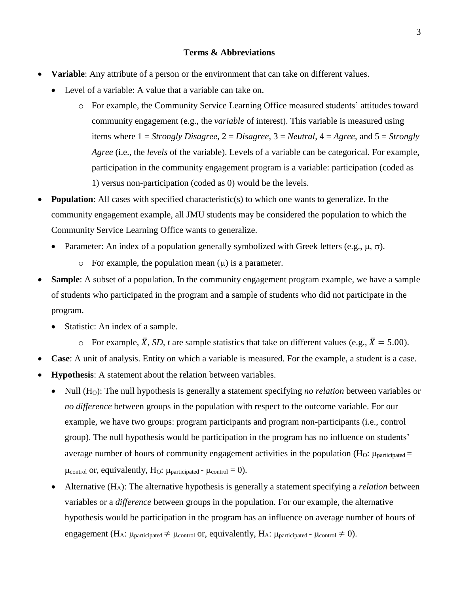#### **Terms & Abbreviations**

- <span id="page-3-0"></span> **Variable**: Any attribute of a person or the environment that can take on different values.
	- Level of a variable: A value that a variable can take on.
		- o For example, the Community Service Learning Office measured students' attitudes toward community engagement (e.g., the *variable* of interest). This variable is measured using items where 1 = *Strongly Disagree*, 2 = *Disagree*, 3 = *Neutral*, 4 = *Agree*, and 5 = *Strongly Agree* (i.e., the *levels* of the variable). Levels of a variable can be categorical. For example, participation in the community engagement program is a variable: participation (coded as 1) versus non-participation (coded as 0) would be the levels.
- **Population**: All cases with specified characteristic(s) to which one wants to generalize. In the community engagement example, all JMU students may be considered the population to which the Community Service Learning Office wants to generalize.
	- Parameter: An index of a population generally symbolized with Greek letters (e.g.,  $\mu$ ,  $\sigma$ ).
		- $\circ$  For example, the population mean  $(\mu)$  is a parameter.
- **Sample**: A subset of a population. In the community engagement program example, we have a sample of students who participated in the program and a sample of students who did not participate in the program.
	- Statistic: An index of a sample.
		- $\circ$  For example,  $\overline{X}$ , *SD*, *t* are sample statistics that take on different values (e.g.,  $\overline{X} = 5.00$ ).
- **Case**: A unit of analysis. Entity on which a variable is measured. For the example, a student is a case.
- **Hypothesis**: A statement about the relation between variables.
	- Null (HO): The null hypothesis is generally a statement specifying *no relation* between variables or *no difference* between groups in the population with respect to the outcome variable. For our example, we have two groups: program participants and program non-participants (i.e., control group). The null hypothesis would be participation in the program has no influence on students' average number of hours of community engagement activities in the population ( $H_0$ :  $\mu_{\text{particle}} =$  $\mu_{control}$  or, equivalently, H<sub>O</sub>:  $\mu_{particle}$  -  $\mu_{control} = 0$ ).
	- Alternative (HA): The alternative hypothesis is generally a statement specifying a *relation* between variables or a *difference* between groups in the population. For our example, the alternative hypothesis would be participation in the program has an influence on average number of hours of engagement (H<sub>A</sub>:  $\mu$ <sub>participated</sub>  $\neq \mu$ <sub>control</sub> or, equivalently, H<sub>A</sub>:  $\mu$ <sub>participated</sub> -  $\mu$ <sub>control</sub>  $\neq$  0).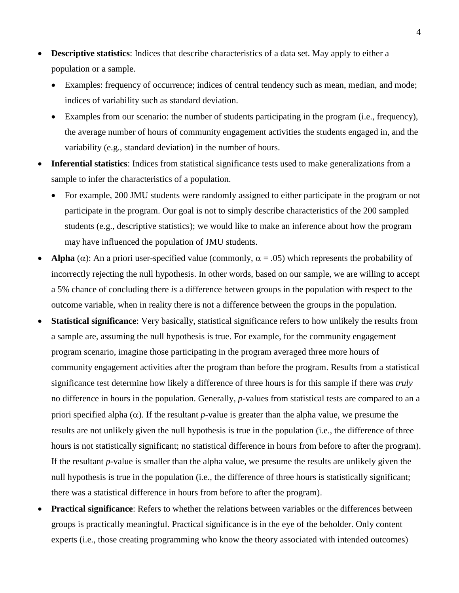- **Descriptive statistics**: Indices that describe characteristics of a data set. May apply to either a population or a sample.
	- Examples: frequency of occurrence; indices of central tendency such as mean, median, and mode; indices of variability such as standard deviation.
	- Examples from our scenario: the number of students participating in the program (i.e., frequency), the average number of hours of community engagement activities the students engaged in, and the variability (e.g., standard deviation) in the number of hours.
- **Inferential statistics**: Indices from statistical significance tests used to make generalizations from a sample to infer the characteristics of a population.
	- For example, 200 JMU students were randomly assigned to either participate in the program or not participate in the program. Our goal is not to simply describe characteristics of the 200 sampled students (e.g., descriptive statistics); we would like to make an inference about how the program may have influenced the population of JMU students.
- **Alpha** ( $\alpha$ ): An a priori user-specified value (commonly,  $\alpha = .05$ ) which represents the probability of incorrectly rejecting the null hypothesis. In other words, based on our sample, we are willing to accept a 5% chance of concluding there *is* a difference between groups in the population with respect to the outcome variable, when in reality there is not a difference between the groups in the population.
- **Statistical significance**: Very basically, statistical significance refers to how unlikely the results from a sample are, assuming the null hypothesis is true. For example, for the community engagement program scenario, imagine those participating in the program averaged three more hours of community engagement activities after the program than before the program. Results from a statistical significance test determine how likely a difference of three hours is for this sample if there was *truly* no difference in hours in the population. Generally, *p*-values from statistical tests are compared to an a priori specified alpha  $(\alpha)$ . If the resultant *p*-value is greater than the alpha value, we presume the results are not unlikely given the null hypothesis is true in the population (i.e., the difference of three hours is not statistically significant; no statistical difference in hours from before to after the program). If the resultant *p*-value is smaller than the alpha value, we presume the results are unlikely given the null hypothesis is true in the population (i.e., the difference of three hours is statistically significant; there was a statistical difference in hours from before to after the program).
- **Practical significance**: Refers to whether the relations between variables or the differences between groups is practically meaningful. Practical significance is in the eye of the beholder. Only content experts (i.e., those creating programming who know the theory associated with intended outcomes)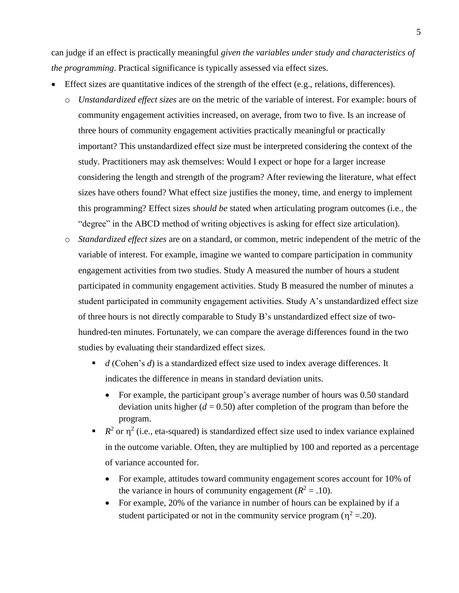can judge if an effect is practically meaningful *given the variables under study and characteristics of the programming*. Practical significance is typically assessed via effect sizes.

- Effect sizes are quantitative indices of the strength of the effect (e.g., relations, differences).
	- o *Unstandardized effect sizes* are on the metric of the variable of interest. For example: hours of community engagement activities increased, on average, from two to five. Is an increase of three hours of community engagement activities practically meaningful or practically important? This unstandardized effect size must be interpreted considering the context of the study. Practitioners may ask themselves: Would I expect or hope for a larger increase considering the length and strength of the program? After reviewing the literature, what effect sizes have others found? What effect size justifies the money, time, and energy to implement this programming? Effect sizes *should be* stated when articulating program outcomes (i.e., the "degree" in the ABCD method of writing objectives is asking for effect size articulation).
	- o *Standardized effect sizes* are on a standard, or common, metric independent of the metric of the variable of interest. For example, imagine we wanted to compare participation in community engagement activities from two studies. Study A measured the number of hours a student participated in community engagement activities. Study B measured the number of minutes a student participated in community engagement activities. Study A's unstandardized effect size of three hours is not directly comparable to Study B's unstandardized effect size of twohundred-ten minutes. Fortunately, we can compare the average differences found in the two studies by evaluating their standardized effect sizes.
		- *d* (Cohen's *d*) is a standardized effect size used to index average differences. It indicates the difference in means in standard deviation units.
			- For example, the participant group's average number of hours was 0.50 standard deviation units higher  $(d = 0.50)$  after completion of the program than before the program.
		- $R^2$  or  $\eta^2$  (i.e., eta-squared) is standardized effect size used to index variance explained in the outcome variable. Often, they are multiplied by 100 and reported as a percentage of variance accounted for.
			- For example, attitudes toward community engagement scores account for 10% of the variance in hours of community engagement ( $R^2 = .10$ ).
			- For example, 20% of the variance in number of hours can be explained by if a student participated or not in the community service program ( $\eta^2 = 20$ ).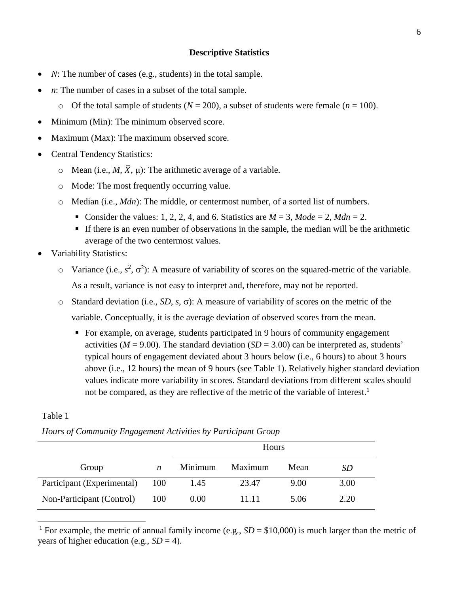## **Descriptive Statistics**

- <span id="page-6-0"></span>• *N*: The number of cases (e.g., students) in the total sample.
- *n*: The number of cases in a subset of the total sample.
	- o Of the total sample of students ( $N = 200$ ), a subset of students were female ( $n = 100$ ).
- Minimum (Min): The minimum observed score.
- Maximum (Max): The maximum observed score.
- Central Tendency Statistics:
	- $\circ$  Mean (i.e., *M*,  $\overline{X}$ ,  $\mu$ ): The arithmetic average of a variable.
	- o Mode: The most frequently occurring value.
	- o Median (i.e., *Mdn*): The middle, or centermost number, of a sorted list of numbers.
		- Consider the values: 1, 2, 2, 4, and 6. Statistics are  $M = 3$ ,  $Mode = 2$ ,  $Mdn = 2$ .
		- If there is an even number of observations in the sample, the median will be the arithmetic average of the two centermost values.
- Variability Statistics:
	- $\circ$  Variance (i.e.,  $s^2$ ,  $\sigma^2$ ): A measure of variability of scores on the squared-metric of the variable. As a result, variance is not easy to interpret and, therefore, may not be reported.
	- $\circ$  Standard deviation (i.e., *SD*, *s*,  $\sigma$ ): A measure of variability of scores on the metric of the variable. Conceptually, it is the average deviation of observed scores from the mean.
		- For example, on average, students participated in 9 hours of community engagement activities ( $M = 9.00$ ). The standard deviation ( $SD = 3.00$ ) can be interpreted as, students' typical hours of engagement deviated about 3 hours below (i.e., 6 hours) to about 3 hours above (i.e., 12 hours) the mean of 9 hours (see Table 1). Relatively higher standard deviation values indicate more variability in scores. Standard deviations from different scales should not be compared, as they are reflective of the metric of the variable of interest.<sup>1</sup>

## Table 1

 $\overline{a}$ 

|  | Hours of Community Engagement Activities by Participant Group |  |  |  |
|--|---------------------------------------------------------------|--|--|--|
|--|---------------------------------------------------------------|--|--|--|

|                            |     | Hours   |         |      |      |
|----------------------------|-----|---------|---------|------|------|
| Group                      | n   | Minimum | Maximum | Mean | SD   |
| Participant (Experimental) | 100 | 1.45    | 23.47   | 9.00 | 3.00 |
| Non-Participant (Control)  | 100 | 0.00    | 11.11   | 5.06 | 2.20 |

<sup>1</sup> For example, the metric of annual family income (e.g.,  $SD = $10,000$ ) is much larger than the metric of years of higher education (e.g.,  $SD = 4$ ).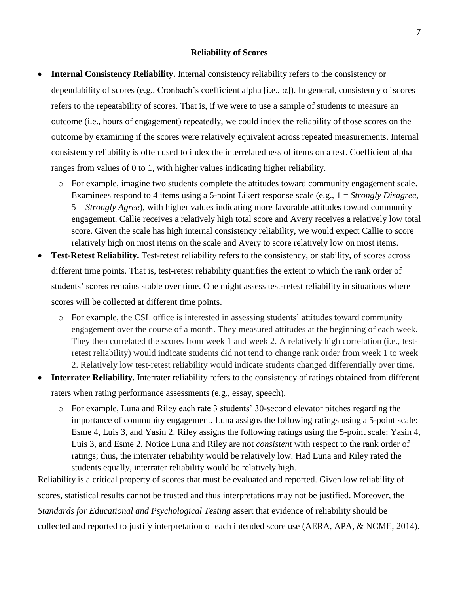#### **Reliability of Scores**

- <span id="page-7-0"></span> **Internal Consistency Reliability.** Internal consistency reliability refers to the consistency or dependability of scores (e.g., Cronbach's coefficient alpha [i.e.,  $\alpha$ ]). In general, consistency of scores refers to the repeatability of scores. That is, if we were to use a sample of students to measure an outcome (i.e., hours of engagement) repeatedly, we could index the reliability of those scores on the outcome by examining if the scores were relatively equivalent across repeated measurements. Internal consistency reliability is often used to index the interrelatedness of items on a test. Coefficient alpha ranges from values of 0 to 1, with higher values indicating higher reliability.
	- o For example, imagine two students complete the attitudes toward community engagement scale. Examinees respond to 4 items using a 5-point Likert response scale (e.g., 1 = *Strongly Disagree*, 5 = *Strongly Agree*), with higher values indicating more favorable attitudes toward community engagement. Callie receives a relatively high total score and Avery receives a relatively low total score. Given the scale has high internal consistency reliability, we would expect Callie to score relatively high on most items on the scale and Avery to score relatively low on most items.
- **Test-Retest Reliability.** Test-retest reliability refers to the consistency, or stability, of scores across different time points. That is, test-retest reliability quantifies the extent to which the rank order of students' scores remains stable over time. One might assess test-retest reliability in situations where scores will be collected at different time points.
	- o For example, the CSL office is interested in assessing students' attitudes toward community engagement over the course of a month. They measured attitudes at the beginning of each week. They then correlated the scores from week 1 and week 2. A relatively high correlation (i.e., testretest reliability) would indicate students did not tend to change rank order from week 1 to week 2. Relatively low test-retest reliability would indicate students changed differentially over time.
- **Interrater Reliability.** Interrater reliability refers to the consistency of ratings obtained from different raters when rating performance assessments (e.g., essay, speech).
	- o For example, Luna and Riley each rate 3 students' 30-second elevator pitches regarding the importance of community engagement. Luna assigns the following ratings using a 5-point scale: Esme 4, Luis 3, and Yasin 2. Riley assigns the following ratings using the 5-point scale: Yasin 4, Luis 3, and Esme 2. Notice Luna and Riley are not *consistent* with respect to the rank order of ratings; thus, the interrater reliability would be relatively low. Had Luna and Riley rated the students equally, interrater reliability would be relatively high.

Reliability is a critical property of scores that must be evaluated and reported. Given low reliability of scores, statistical results cannot be trusted and thus interpretations may not be justified. Moreover, the *Standards for Educational and Psychological Testing* assert that evidence of reliability should be collected and reported to justify interpretation of each intended score use (AERA, APA, & NCME, 2014).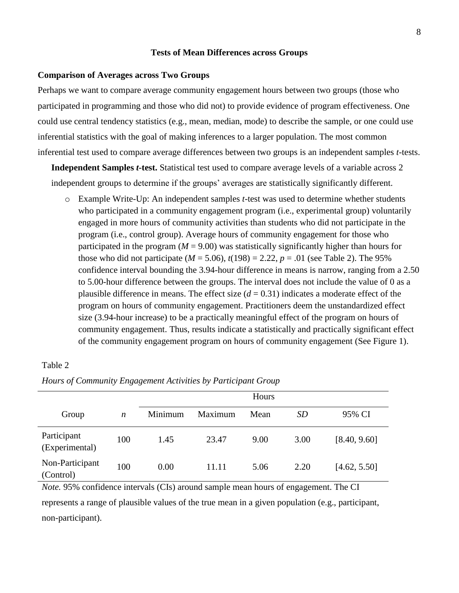#### **Tests of Mean Differences across Groups**

#### <span id="page-8-1"></span><span id="page-8-0"></span>**Comparison of Averages across Two Groups**

Perhaps we want to compare average community engagement hours between two groups (those who participated in programming and those who did not) to provide evidence of program effectiveness. One could use central tendency statistics (e.g., mean, median, mode) to describe the sample, or one could use inferential statistics with the goal of making inferences to a larger population. The most common inferential test used to compare average differences between two groups is an independent samples *t*-tests.

**Independent Samples** *t***-test.** Statistical test used to compare average levels of a variable across 2 independent groups to determine if the groups' averages are statistically significantly different.

o Example Write-Up: An independent samples *t*-test was used to determine whether students who participated in a community engagement program (i.e., experimental group) voluntarily engaged in more hours of community activities than students who did not participate in the program (i.e., control group). Average hours of community engagement for those who participated in the program  $(M = 9.00)$  was statistically significantly higher than hours for those who did not participate ( $M = 5.06$ ),  $t(198) = 2.22$ ,  $p = .01$  (see Table 2). The 95% confidence interval bounding the 3.94-hour difference in means is narrow, ranging from a 2.50 to 5.00-hour difference between the groups. The interval does not include the value of 0 as a plausible difference in means. The effect size  $(d = 0.31)$  indicates a moderate effect of the program on hours of community engagement. Practitioners deem the unstandardized effect size (3.94-hour increase) to be a practically meaningful effect of the program on hours of community engagement. Thus, results indicate a statistically and practically significant effect of the community engagement program on hours of community engagement (See Figure 1).

## Table 2

|                               |                  |         |         | Hours |           |              |  |
|-------------------------------|------------------|---------|---------|-------|-----------|--------------|--|
| Group                         | $\boldsymbol{n}$ | Minimum | Maximum | Mean  | <i>SD</i> | 95% CI       |  |
| Participant<br>(Experimental) | 100              | 1.45    | 23.47   | 9.00  | 3.00      | [8.40, 9.60] |  |
| Non-Participant<br>(Control)  | 100              | 0.00    | 11.11   | 5.06  | 2.20      | [4.62, 5.50] |  |

*Hours of Community Engagement Activities by Participant Group*

*Note*. 95% confidence intervals (CIs) around sample mean hours of engagement. The CI represents a range of plausible values of the true mean in a given population (e.g., participant, non-participant).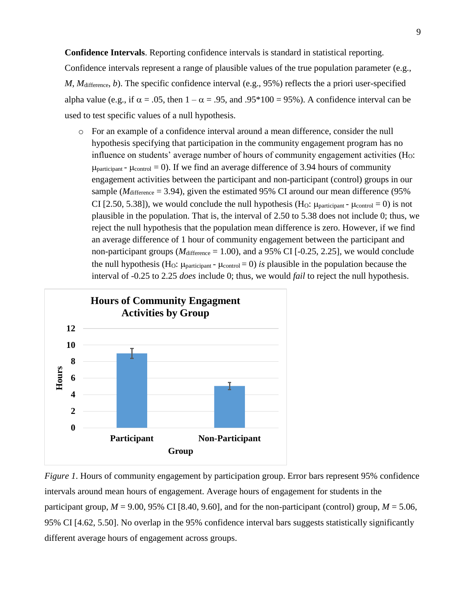**Confidence Intervals**. Reporting confidence intervals is standard in statistical reporting.

Confidence intervals represent a range of plausible values of the true population parameter (e.g., *M*, *M*difference, *b*). The specific confidence interval (e.g., 95%) reflects the a priori user-specified alpha value (e.g., if  $\alpha = .05$ , then  $1 - \alpha = .95$ , and  $.95*100 = 95%$ ). A confidence interval can be used to test specific values of a null hypothesis.

o For an example of a confidence interval around a mean difference, consider the null hypothesis specifying that participation in the community engagement program has no influence on students' average number of hours of community engagement activities  $(H<sub>O</sub>:$  $\mu_{\text{participant}}$  -  $\mu_{\text{control}} = 0$ ). If we find an average difference of 3.94 hours of community engagement activities between the participant and non-participant (control) groups in our sample ( $M<sub>difference</sub> = 3.94$ ), given the estimated 95% CI around our mean difference (95%) CI [2.50, 5.38]), we would conclude the null hypothesis (H<sub>O</sub>:  $\mu$ <sub>participant</sub> -  $\mu$ <sub>control</sub> = 0) is not plausible in the population. That is, the interval of 2.50 to 5.38 does not include 0; thus, we reject the null hypothesis that the population mean difference is zero. However, if we find an average difference of 1 hour of community engagement between the participant and non-participant groups ( $M<sub>difference</sub> = 1.00$ ), and a 95% CI [-0.25, 2.25], we would conclude the null hypothesis (H<sub>O</sub>:  $\mu_{\text{participant}} - \mu_{\text{control}} = 0$ ) *is* plausible in the population because the interval of -0.25 to 2.25 *does* include 0; thus, we would *fail* to reject the null hypothesis.



*Figure 1*. Hours of community engagement by participation group. Error bars represent 95% confidence intervals around mean hours of engagement. Average hours of engagement for students in the participant group,  $M = 9.00$ , 95% CI [8.40, 9.60], and for the non-participant (control) group,  $M = 5.06$ , 95% CI [4.62, 5.50]. No overlap in the 95% confidence interval bars suggests statistically significantly different average hours of engagement across groups.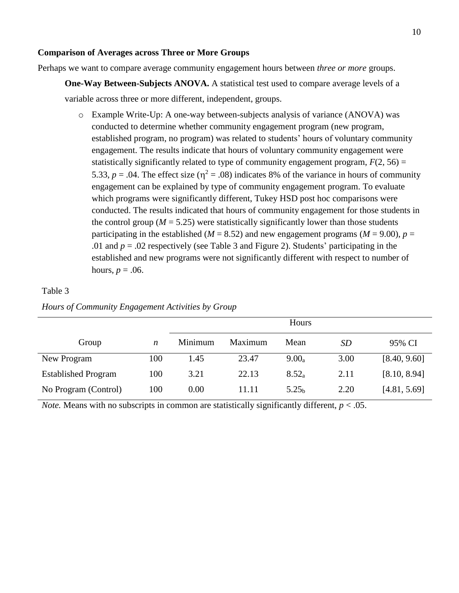## <span id="page-10-0"></span>**Comparison of Averages across Three or More Groups**

Perhaps we want to compare average community engagement hours between *three or more* groups.

**One-Way Between-Subjects ANOVA.** A statistical test used to compare average levels of a variable across three or more different, independent, groups.

o Example Write-Up: A one-way between-subjects analysis of variance (ANOVA) was conducted to determine whether community engagement program (new program, established program, no program) was related to students' hours of voluntary community engagement. The results indicate that hours of voluntary community engagement were statistically significantly related to type of community engagement program,  $F(2, 56) =$ 5.33,  $p = .04$ . The effect size ( $\eta^2 = .08$ ) indicates 8% of the variance in hours of community engagement can be explained by type of community engagement program. To evaluate which programs were significantly different, Tukey HSD post hoc comparisons were conducted. The results indicated that hours of community engagement for those students in the control group ( $M = 5.25$ ) were statistically significantly lower than those students participating in the established ( $M = 8.52$ ) and new engagement programs ( $M = 9.00$ ),  $p =$ .01 and  $p = 0.02$  respectively (see Table 3 and Figure 2). Students' participating in the established and new programs were not significantly different with respect to number of hours,  $p = .06$ .

## Table 3

|                            |     | Hours   |         |                   |      |              |
|----------------------------|-----|---------|---------|-------------------|------|--------------|
| Group                      | n   | Minimum | Maximum | Mean              | SD   | 95% CI       |
| New Program                | 100 | 1.45    | 23.47   | $9.00_a$          | 3.00 | [8.40, 9.60] |
| <b>Established Program</b> | 100 | 3.21    | 22.13   | $8.52_a$          | 2.11 | [8.10, 8.94] |
| No Program (Control)       | 100 | 0.00    | 11.11   | 5.25 <sub>b</sub> | 2.20 | [4.81, 5.69] |

*Hours of Community Engagement Activities by Group*

*Note.* Means with no subscripts in common are statistically significantly different,  $p < .05$ .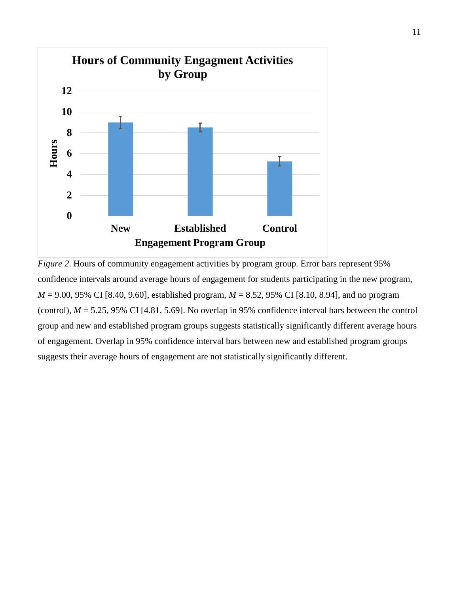

*Figure 2.* Hours of community engagement activities by program group. Error bars represent 95% confidence intervals around average hours of engagement for students participating in the new program, *M* = 9.00, 95% CI [8.40, 9.60], established program, *M* = 8.52, 95% CI [8.10, 8.94], and no program (control),  $M = 5.25$ , 95% CI [4.81, 5.69]. No overlap in 95% confidence interval bars between the control group and new and established program groups suggests statistically significantly different average hours of engagement. Overlap in 95% confidence interval bars between new and established program groups suggests their average hours of engagement are not statistically significantly different.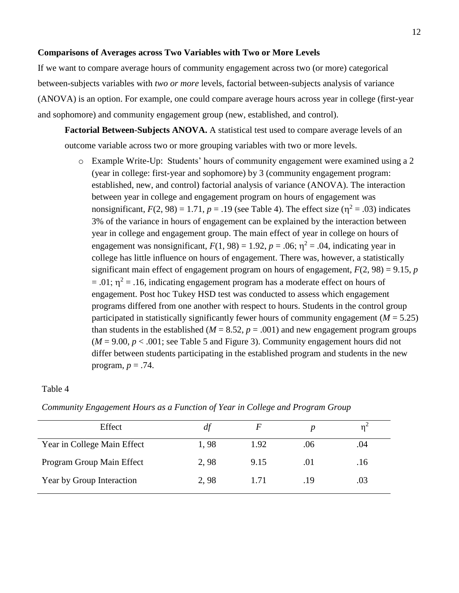#### <span id="page-12-0"></span>**Comparisons of Averages across Two Variables with Two or More Levels**

If we want to compare average hours of community engagement across two (or more) categorical between-subjects variables with *two or more* levels, factorial between-subjects analysis of variance (ANOVA) is an option. For example, one could compare average hours across year in college (first-year and sophomore) and community engagement group (new, established, and control).

**Factorial Between-Subjects ANOVA.** A statistical test used to compare average levels of an outcome variable across two or more grouping variables with two or more levels.

o Example Write-Up: Students' hours of community engagement were examined using a 2 (year in college: first-year and sophomore) by 3 (community engagement program: established, new, and control) factorial analysis of variance (ANOVA). The interaction between year in college and engagement program on hours of engagement was nonsignificant,  $F(2, 98) = 1.71$ ,  $p = .19$  (see Table 4). The effect size ( $\eta^2 = .03$ ) indicates 3% of the variance in hours of engagement can be explained by the interaction between year in college and engagement group. The main effect of year in college on hours of engagement was nonsignificant,  $F(1, 98) = 1.92$ ,  $p = .06$ ;  $\eta^2 = .04$ , indicating year in college has little influence on hours of engagement. There was, however, a statistically significant main effect of engagement program on hours of engagement,  $F(2, 98) = 9.15$ , *p*  $= .01$ ;  $\eta^2 = .16$ , indicating engagement program has a moderate effect on hours of engagement. Post hoc Tukey HSD test was conducted to assess which engagement programs differed from one another with respect to hours. Students in the control group participated in statistically significantly fewer hours of community engagement  $(M = 5.25)$ than students in the established ( $M = 8.52$ ,  $p = .001$ ) and new engagement program groups  $(M = 9.00, p < .001$ ; see Table 5 and Figure 3). Community engagement hours did not differ between students participating in the established program and students in the new program,  $p = .74$ .

#### Table 4

| Effect                      | df   |      |     |     |
|-----------------------------|------|------|-----|-----|
| Year in College Main Effect | 1,98 | 1.92 | .06 | .04 |
| Program Group Main Effect   | 2.98 | 9.15 | .01 | .16 |
| Year by Group Interaction   | 2,98 | 1 71 | .19 | .03 |

*Community Engagement Hours as a Function of Year in College and Program Group*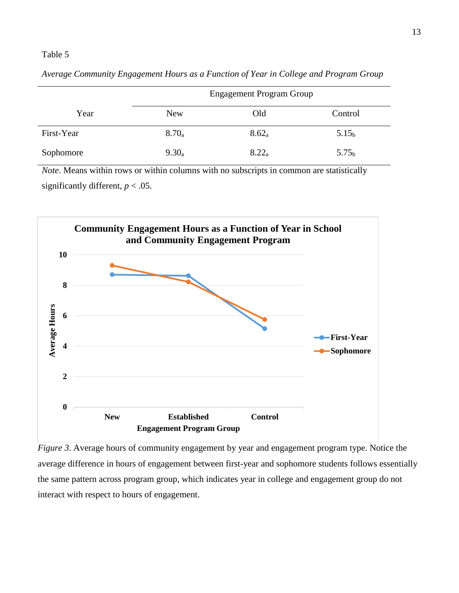## Table 5

|            | <b>Engagement Program Group</b> |          |                   |  |
|------------|---------------------------------|----------|-------------------|--|
| Year       | <b>New</b>                      | Old      | Control           |  |
| First-Year | $8.70_a$                        | $8.62_a$ | 5.15 <sub>b</sub> |  |
| Sophomore  | $9.30_a$                        | $8.22_a$ | 5.75 <sub>b</sub> |  |

*Average Community Engagement Hours as a Function of Year in College and Program Group*

*Note*. Means within rows or within columns with no subscripts in common are statistically significantly different,  $p < .05$ .



*Figure 3*. Average hours of community engagement by year and engagement program type. Notice the average difference in hours of engagement between first-year and sophomore students follows essentially the same pattern across program group, which indicates year in college and engagement group do not interact with respect to hours of engagement.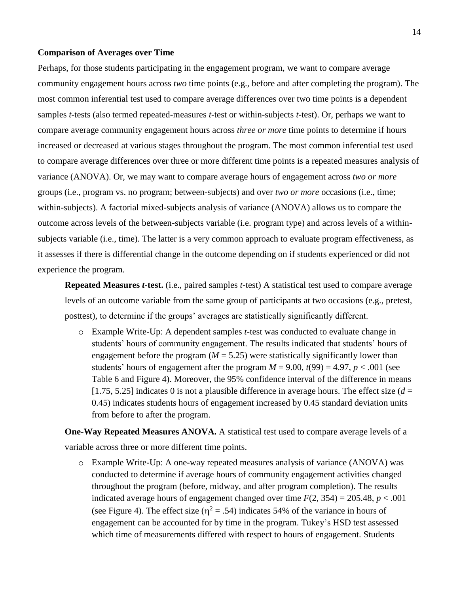#### **Comparison of Averages over Time**

Perhaps, for those students participating in the engagement program, we want to compare average community engagement hours across *two* time points (e.g., before and after completing the program). The most common inferential test used to compare average differences over two time points is a dependent samples *t*-tests (also termed repeated-measures *t*-test or within-subjects *t*-test). Or, perhaps we want to compare average community engagement hours across *three or more* time points to determine if hours increased or decreased at various stages throughout the program. The most common inferential test used to compare average differences over three or more different time points is a repeated measures analysis of variance (ANOVA). Or, we may want to compare average hours of engagement across *two or more* groups (i.e., program vs. no program; between-subjects) and over *two or more* occasions (i.e., time; within-subjects). A factorial mixed-subjects analysis of variance (ANOVA) allows us to compare the outcome across levels of the between-subjects variable (i.e. program type) and across levels of a withinsubjects variable (i.e., time). The latter is a very common approach to evaluate program effectiveness, as it assesses if there is differential change in the outcome depending on if students experienced or did not experience the program.

**Repeated Measures** *t***-test.** (i.e., paired samples *t*-test) A statistical test used to compare average levels of an outcome variable from the same group of participants at two occasions (e.g., pretest, posttest), to determine if the groups' averages are statistically significantly different.

o Example Write-Up: A dependent samples *t*-test was conducted to evaluate change in students' hours of community engagement. The results indicated that students' hours of engagement before the program  $(M = 5.25)$  were statistically significantly lower than students' hours of engagement after the program  $M = 9.00$ ,  $t(99) = 4.97$ ,  $p < .001$  (see Table 6 and Figure 4). Moreover, the 95% confidence interval of the difference in means [1.75, 5.25] indicates 0 is not a plausible difference in average hours. The effect size  $(d =$ 0.45) indicates students hours of engagement increased by 0.45 standard deviation units from before to after the program.

**One-Way Repeated Measures ANOVA.** A statistical test used to compare average levels of a variable across three or more different time points.

o Example Write-Up: A one-way repeated measures analysis of variance (ANOVA) was conducted to determine if average hours of community engagement activities changed throughout the program (before, midway, and after program completion). The results indicated average hours of engagement changed over time  $F(2, 354) = 205.48$ ,  $p < .001$ (see Figure 4). The effect size ( $\eta^2 = .54$ ) indicates 54% of the variance in hours of engagement can be accounted for by time in the program. Tukey's HSD test assessed which time of measurements differed with respect to hours of engagement. Students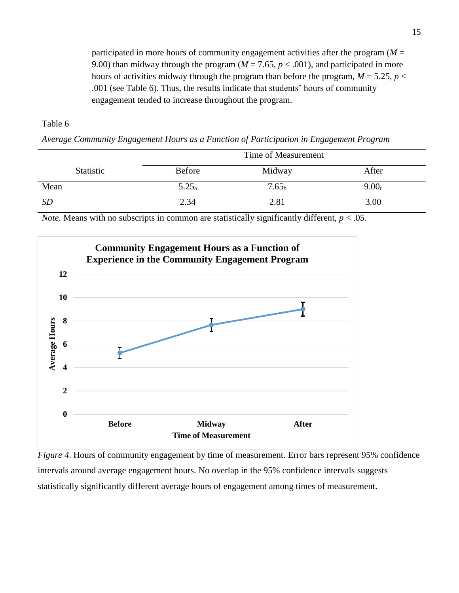participated in more hours of community engagement activities after the program (*M* = 9.00) than midway through the program  $(M = 7.65, p < .001)$ , and participated in more hours of activities midway through the program than before the program,  $M = 5.25$ ,  $p <$ .001 (see Table 6). Thus, the results indicate that students' hours of community engagement tended to increase throughout the program.

Table 6

*Average Community Engagement Hours as a Function of Participation in Engagement Program*

|                  | Time of Measurement |                   |                   |  |
|------------------|---------------------|-------------------|-------------------|--|
| <b>Statistic</b> | <b>Before</b>       | Midway            | After             |  |
| Mean             | $5.25_a$            | 7.65 <sub>b</sub> | 9.00 <sub>c</sub> |  |
| <i>SD</i>        | 2.34                | 2.81              | 3.00              |  |

*Note*. Means with no subscripts in common are statistically significantly different, *p* < .05.



*Figure 4*. Hours of community engagement by time of measurement. Error bars represent 95% confidence intervals around average engagement hours. No overlap in the 95% confidence intervals suggests statistically significantly different average hours of engagement among times of measurement.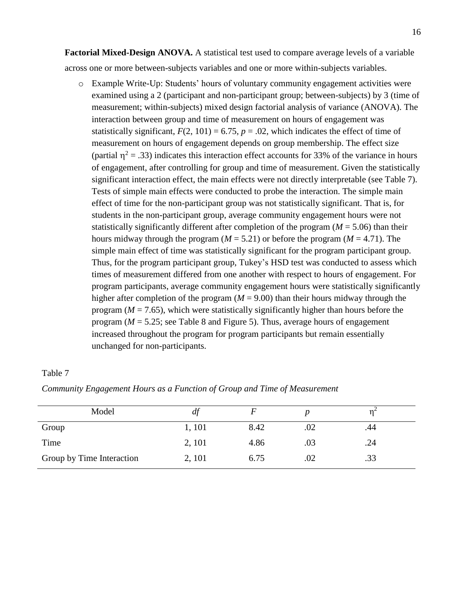**Factorial Mixed-Design ANOVA.** A statistical test used to compare average levels of a variable across one or more between-subjects variables and one or more within-subjects variables.

o Example Write-Up: Students' hours of voluntary community engagement activities were examined using a 2 (participant and non-participant group; between-subjects) by 3 (time of measurement; within-subjects) mixed design factorial analysis of variance (ANOVA). The interaction between group and time of measurement on hours of engagement was statistically significant,  $F(2, 101) = 6.75$ ,  $p = .02$ , which indicates the effect of time of measurement on hours of engagement depends on group membership. The effect size (partial  $\eta^2$  = .33) indicates this interaction effect accounts for 33% of the variance in hours of engagement, after controlling for group and time of measurement. Given the statistically significant interaction effect, the main effects were not directly interpretable (see Table 7). Tests of simple main effects were conducted to probe the interaction. The simple main effect of time for the non-participant group was not statistically significant. That is, for students in the non-participant group, average community engagement hours were not statistically significantly different after completion of the program (*M* = 5.06) than their hours midway through the program ( $M = 5.21$ ) or before the program ( $M = 4.71$ ). The simple main effect of time was statistically significant for the program participant group. Thus, for the program participant group, Tukey's HSD test was conducted to assess which times of measurement differed from one another with respect to hours of engagement. For program participants, average community engagement hours were statistically significantly higher after completion of the program  $(M = 9.00)$  than their hours midway through the program ( $M = 7.65$ ), which were statistically significantly higher than hours before the program  $(M = 5.25$ ; see Table 8 and Figure 5). Thus, average hours of engagement increased throughout the program for program participants but remain essentially unchanged for non-participants.

#### Table 7

| Model                     | dt     |      |     |     |  |
|---------------------------|--------|------|-----|-----|--|
| Group                     | 1, 101 | 8.42 | .02 | .44 |  |
| Time                      | 2, 101 | 4.86 | .03 | .24 |  |
| Group by Time Interaction | 2, 101 | 6.75 | .02 | .33 |  |

*Community Engagement Hours as a Function of Group and Time of Measurement*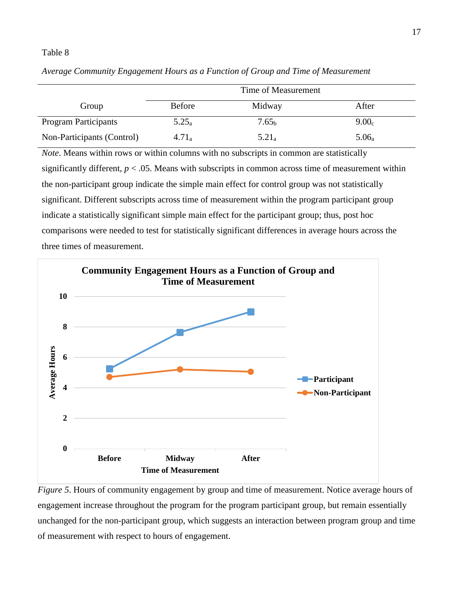#### Table 8

|                             | Time of Measurement |                   |                   |  |
|-----------------------------|---------------------|-------------------|-------------------|--|
| Group                       | <b>Before</b>       | Midway            | After             |  |
| <b>Program Participants</b> | $5.25_a$            | 7.65 <sub>b</sub> | 9.00 <sub>c</sub> |  |
| Non-Participants (Control)  | $4.71_a$            | $5.21_a$          | $5.06_a$          |  |

*Average Community Engagement Hours as a Function of Group and Time of Measurement* 

*Note*. Means within rows or within columns with no subscripts in common are statistically significantly different,  $p < .05$ . Means with subscripts in common across time of measurement within the non-participant group indicate the simple main effect for control group was not statistically significant. Different subscripts across time of measurement within the program participant group indicate a statistically significant simple main effect for the participant group; thus, post hoc comparisons were needed to test for statistically significant differences in average hours across the three times of measurement.



*Figure 5*. Hours of community engagement by group and time of measurement. Notice average hours of engagement increase throughout the program for the program participant group, but remain essentially unchanged for the non-participant group, which suggests an interaction between program group and time of measurement with respect to hours of engagement.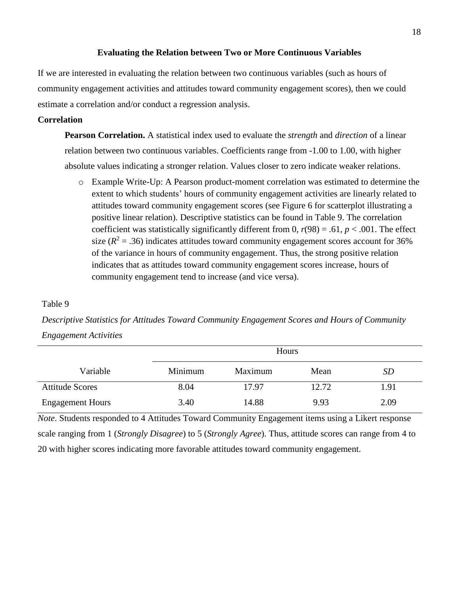#### **Evaluating the Relation between Two or More Continuous Variables**

<span id="page-18-0"></span>If we are interested in evaluating the relation between two continuous variables (such as hours of community engagement activities and attitudes toward community engagement scores), then we could estimate a correlation and/or conduct a regression analysis.

## <span id="page-18-1"></span>**Correlation**

**Pearson Correlation.** A statistical index used to evaluate the *strength* and *direction* of a linear relation between two continuous variables. Coefficients range from -1.00 to 1.00, with higher absolute values indicating a stronger relation. Values closer to zero indicate weaker relations.

o Example Write-Up: A Pearson product-moment correlation was estimated to determine the extent to which students' hours of community engagement activities are linearly related to attitudes toward community engagement scores (see Figure 6 for scatterplot illustrating a positive linear relation). Descriptive statistics can be found in Table 9. The correlation coefficient was statistically significantly different from 0,  $r(98) = .61$ ,  $p < .001$ . The effect size  $(R^2 = .36)$  indicates attitudes toward community engagement scores account for 36% of the variance in hours of community engagement. Thus, the strong positive relation indicates that as attitudes toward community engagement scores increase, hours of community engagement tend to increase (and vice versa).

## Table 9

*Descriptive Statistics for Attitudes Toward Community Engagement Scores and Hours of Community Engagement Activities*

|                         | Hours   |         |       |      |  |  |
|-------------------------|---------|---------|-------|------|--|--|
| Variable                | Minimum | Maximum | Mean  | SD   |  |  |
| <b>Attitude Scores</b>  | 8.04    | 17.97   | 12.72 | 1.91 |  |  |
| <b>Engagement Hours</b> | 3.40    | 14.88   | 9.93  | 2.09 |  |  |

*Note*. Students responded to 4 Attitudes Toward Community Engagement items using a Likert response scale ranging from 1 (*Strongly Disagree*) to 5 (*Strongly Agree*). Thus, attitude scores can range from 4 to 20 with higher scores indicating more favorable attitudes toward community engagement.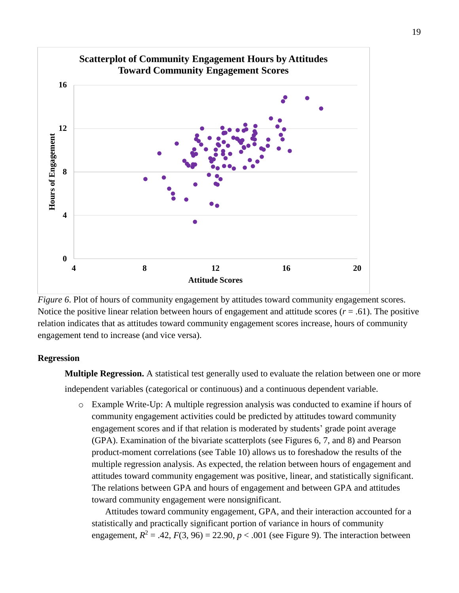

*Figure 6*. Plot of hours of community engagement by attitudes toward community engagement scores. Notice the positive linear relation between hours of engagement and attitude scores  $(r = .61)$ . The positive relation indicates that as attitudes toward community engagement scores increase, hours of community engagement tend to increase (and vice versa).

### <span id="page-19-0"></span>**Regression**

**Multiple Regression.** A statistical test generally used to evaluate the relation between one or more independent variables (categorical or continuous) and a continuous dependent variable.

o Example Write-Up: A multiple regression analysis was conducted to examine if hours of community engagement activities could be predicted by attitudes toward community engagement scores and if that relation is moderated by students' grade point average (GPA). Examination of the bivariate scatterplots (see Figures 6, 7, and 8) and Pearson product-moment correlations (see Table 10) allows us to foreshadow the results of the multiple regression analysis. As expected, the relation between hours of engagement and attitudes toward community engagement was positive, linear, and statistically significant. The relations between GPA and hours of engagement and between GPA and attitudes toward community engagement were nonsignificant.

Attitudes toward community engagement, GPA, and their interaction accounted for a statistically and practically significant portion of variance in hours of community engagement,  $R^2 = .42$ ,  $F(3, 96) = 22.90$ ,  $p < .001$  (see Figure 9). The interaction between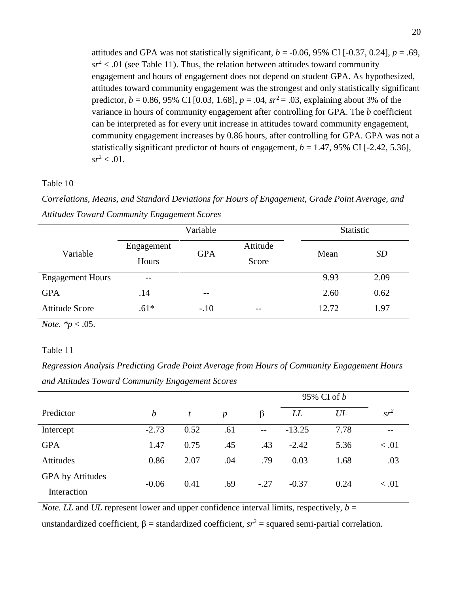attitudes and GPA was not statistically significant,  $b = -0.06, 95\%$  CI [ $-0.37, 0.24$ ],  $p = .69$ ,  $sr^2$  < .01 (see Table 11). Thus, the relation between attitudes toward community engagement and hours of engagement does not depend on student GPA. As hypothesized, attitudes toward community engagement was the strongest and only statistically significant predictor,  $b = 0.86$ , 95% CI [0.03, 1.68],  $p = .04$ ,  $sr^2 = .03$ , explaining about 3% of the variance in hours of community engagement after controlling for GPA. The *b* coefficient can be interpreted as for every unit increase in attitudes toward community engagement, community engagement increases by 0.86 hours, after controlling for GPA. GPA was not a statistically significant predictor of hours of engagement,  $b = 1.47$ , 95% CI [-2.42, 5.36],  $sr^2 < .01$ .

#### Table 10

*Correlations, Means, and Standard Deviations for Hours of Engagement, Grade Point Average, and Attitudes Toward Community Engagement Scores*

|                         | Variable   |            |          | Statistic |      |  |
|-------------------------|------------|------------|----------|-----------|------|--|
| Variable                | Engagement | <b>GPA</b> | Attitude | Mean      | SD   |  |
|                         | Hours      |            | Score    |           |      |  |
| <b>Engagement Hours</b> | $- -$      |            |          | 9.93      | 2.09 |  |
| <b>GPA</b>              | .14        | $- -$      |          | 2.60      | 0.62 |  |
| <b>Attitude Score</b>   | $.61*$     | $-.10$     | $- -$    | 12.72     | 1.97 |  |

*Note.*  $*_{p}$  < .05.

## Table 11

*Regression Analysis Predicting Grade Point Average from Hours of Community Engagement Hours and Attitudes Toward Community Engagement Scores*

|                  |                  |      |                  |         | 95% CI of <i>b</i> |      |        |
|------------------|------------------|------|------------------|---------|--------------------|------|--------|
| Predictor        | $\boldsymbol{b}$ | t    | $\boldsymbol{p}$ | $\beta$ | LL                 | UL   | $sr^2$ |
| Intercept        | $-2.73$          | 0.52 | .61              | $-$     | $-13.25$           | 7.78 | $- -$  |
| <b>GPA</b>       | 1.47             | 0.75 | .45              | .43     | $-2.42$            | 5.36 | < 0.01 |
| Attitudes        | 0.86             | 2.07 | .04              | .79     | 0.03               | 1.68 | .03    |
| GPA by Attitudes | $-0.06$          | 0.41 | .69              | $-.27$  | $-0.37$            | 0.24 | < 0.01 |
| Interaction      |                  |      |                  |         |                    |      |        |

*Note. LL* and *UL* represent lower and upper confidence interval limits, respectively,  $b =$ 

unstandardized coefficient,  $\beta$  = standardized coefficient,  $sr^2$  = squared semi-partial correlation.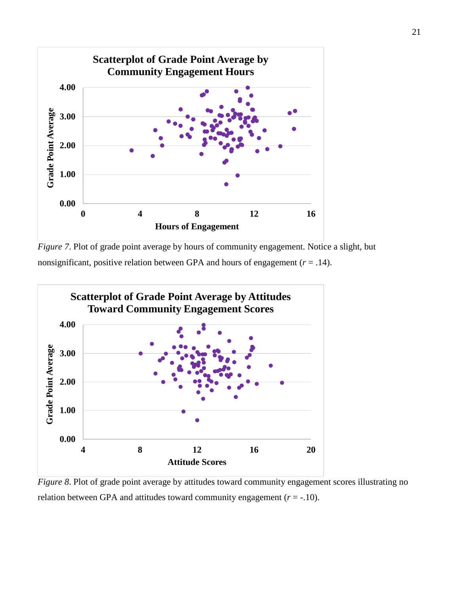

*Figure 7*. Plot of grade point average by hours of community engagement. Notice a slight, but nonsignificant, positive relation between GPA and hours of engagement (*r* = .14).



*Figure 8*. Plot of grade point average by attitudes toward community engagement scores illustrating no relation between GPA and attitudes toward community engagement  $(r = -10)$ .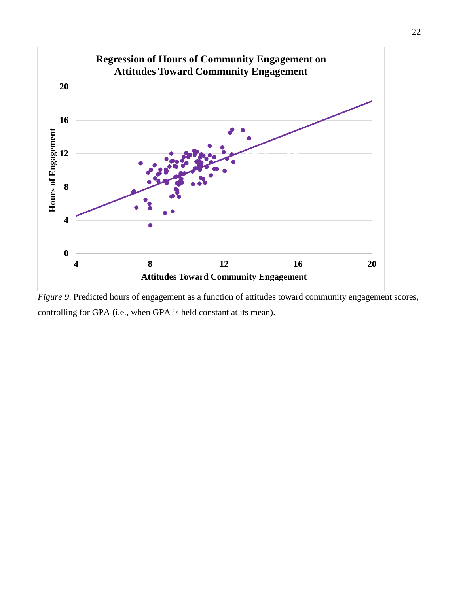

*Figure 9*. Predicted hours of engagement as a function of attitudes toward community engagement scores, controlling for GPA (i.e., when GPA is held constant at its mean).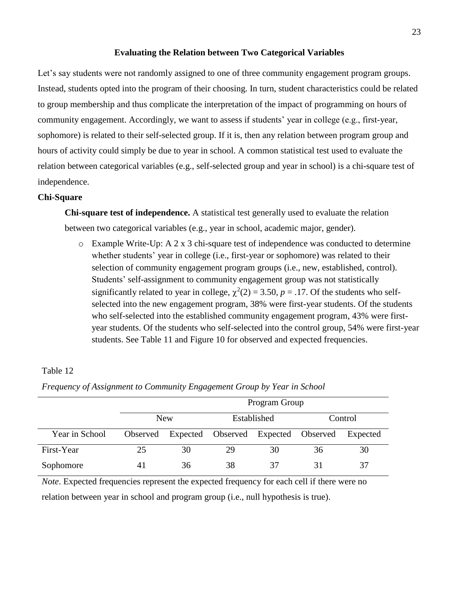#### **Evaluating the Relation between Two Categorical Variables**

<span id="page-23-0"></span>Let's say students were not randomly assigned to one of three community engagement program groups. Instead, students opted into the program of their choosing. In turn, student characteristics could be related to group membership and thus complicate the interpretation of the impact of programming on hours of community engagement. Accordingly, we want to assess if students' year in college (e.g., first-year, sophomore) is related to their self-selected group. If it is, then any relation between program group and hours of activity could simply be due to year in school. A common statistical test used to evaluate the relation between categorical variables (e.g., self-selected group and year in school) is a chi-square test of independence.

## <span id="page-23-1"></span>**Chi-Square**

**Chi-square test of independence.** A statistical test generally used to evaluate the relation between two categorical variables (e.g., year in school, academic major, gender).

 $\circ$  Example Write-Up: A 2 x 3 chi-square test of independence was conducted to determine whether students' year in college (i.e., first-year or sophomore) was related to their selection of community engagement program groups (i.e., new, established, control). Students' self-assignment to community engagement group was not statistically significantly related to year in college,  $\chi^2(2) = 3.50$ ,  $p = .17$ . Of the students who selfselected into the new engagement program, 38% were first-year students. Of the students who self-selected into the established community engagement program, 43% were firstyear students. Of the students who self-selected into the control group, 54% were first-year students. See Table 11 and Figure 10 for observed and expected frequencies.

## Table 12

|                | Program Group |    |                                              |             |         |          |  |  |  |  |
|----------------|---------------|----|----------------------------------------------|-------------|---------|----------|--|--|--|--|
|                | <b>New</b>    |    |                                              | Established | Control |          |  |  |  |  |
| Year in School |               |    | Observed Expected Observed Expected Observed |             |         | Expected |  |  |  |  |
| First-Year     | 25            | 30 | 29                                           | 30          | 36      | 30       |  |  |  |  |
| Sophomore      | 41            | 36 | 38                                           | 37          | 31      | 37       |  |  |  |  |

*Frequency of Assignment to Community Engagement Group by Year in School*

*Note*. Expected frequencies represent the expected frequency for each cell if there were no relation between year in school and program group (i.e., null hypothesis is true).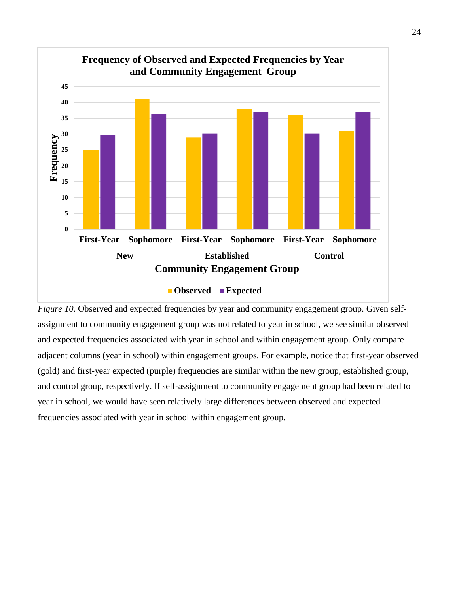

*Figure 10*. Observed and expected frequencies by year and community engagement group. Given selfassignment to community engagement group was not related to year in school, we see similar observed and expected frequencies associated with year in school and within engagement group. Only compare adjacent columns (year in school) within engagement groups. For example, notice that first-year observed (gold) and first-year expected (purple) frequencies are similar within the new group, established group, and control group, respectively. If self-assignment to community engagement group had been related to year in school, we would have seen relatively large differences between observed and expected frequencies associated with year in school within engagement group.